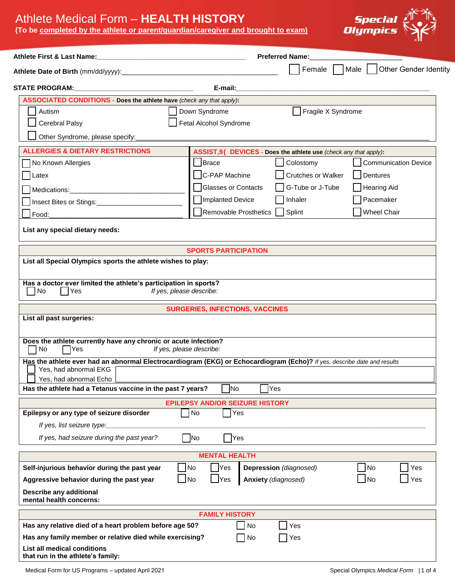## Athlete Medical Form – **HEALTH HISTORY**

**(T o be completed by the athlete or parent/guardian/caregiver and brought to exam)**



| Athlete First & Last Name:<br><u> 1989 - Johann Stein, mars an deutscher Stein und der Stein und der Stein und der Stein und der Stein und der</u> |                                        | <b>Preferred Name:</b>                                           |                                           |  |  |  |  |  |
|----------------------------------------------------------------------------------------------------------------------------------------------------|----------------------------------------|------------------------------------------------------------------|-------------------------------------------|--|--|--|--|--|
|                                                                                                                                                    |                                        |                                                                  | Female     Male     Other Gender Identity |  |  |  |  |  |
| <b>STATE PROGRAM:</b>                                                                                                                              | E-mail:                                |                                                                  |                                           |  |  |  |  |  |
| ASSOCIATED CONDITIONS - Does the athlete have (check any that apply):                                                                              |                                        |                                                                  |                                           |  |  |  |  |  |
| Autism                                                                                                                                             | Down Syndrome                          | Fragile X Syndrome                                               |                                           |  |  |  |  |  |
| <b>Cerebral Palsy</b>                                                                                                                              | Fetal Alcohol Syndrome                 |                                                                  |                                           |  |  |  |  |  |
| Other Syndrome, please specify:                                                                                                                    |                                        |                                                                  |                                           |  |  |  |  |  |
| <b>ALLERGIES &amp; DIETARY RESTRICTIONS</b>                                                                                                        |                                        | ASSIST=J9 DEVICES - Does the athlete use (check any that apply): |                                           |  |  |  |  |  |
| No Known Allergies                                                                                                                                 | Brace                                  | Colostomy                                                        | <b>Communication Device</b>               |  |  |  |  |  |
| Latex                                                                                                                                              | C-PAP Machine                          | Crutches or Walker                                               | Dentures                                  |  |  |  |  |  |
|                                                                                                                                                    | Glasses or Contacts                    | G-Tube or J-Tube                                                 | Hearing Aid                               |  |  |  |  |  |
| Insect Bites or Stings:                                                                                                                            | Implanted Device                       | Inhaler                                                          | Pacemaker                                 |  |  |  |  |  |
| Food:                                                                                                                                              | Removable Prosthetics                  | Splint                                                           | <b>Wheel Chair</b>                        |  |  |  |  |  |
|                                                                                                                                                    |                                        |                                                                  |                                           |  |  |  |  |  |
| List any special dietary needs:                                                                                                                    |                                        |                                                                  |                                           |  |  |  |  |  |
|                                                                                                                                                    | <b>SPORTS PARTICIPATION</b>            |                                                                  |                                           |  |  |  |  |  |
| List all Special Olympics sports the athlete wishes to play:                                                                                       |                                        |                                                                  |                                           |  |  |  |  |  |
|                                                                                                                                                    |                                        |                                                                  |                                           |  |  |  |  |  |
| Has a doctor ever limited the athlete's participation in sports?<br>No<br>  Yes                                                                    | If yes, please describe:               |                                                                  |                                           |  |  |  |  |  |
|                                                                                                                                                    | <b>SURGERIES, INFECTIONS, VACCINES</b> |                                                                  |                                           |  |  |  |  |  |
| List all past surgeries:                                                                                                                           |                                        |                                                                  |                                           |  |  |  |  |  |
|                                                                                                                                                    |                                        |                                                                  |                                           |  |  |  |  |  |
| Does the athlete currently have any chronic or acute infection?<br>$\neg$ No<br>  Yes                                                              | If yes, please describe:               |                                                                  |                                           |  |  |  |  |  |
| Has the athlete ever had an abnormal Electrocardiogram (EKG) or Echocardiogram (Echo)? If yes, describe date and results                           |                                        |                                                                  |                                           |  |  |  |  |  |
| Yes, had abnormal EKG                                                                                                                              |                                        |                                                                  |                                           |  |  |  |  |  |
| Yes, had abnormal Echo                                                                                                                             |                                        |                                                                  |                                           |  |  |  |  |  |
| Has the athlete had a Tetanus vaccine in the past 7 years?                                                                                         | <b>No</b>                              | Yes                                                              |                                           |  |  |  |  |  |
|                                                                                                                                                    | <b>EPILEPSY AND/OR SEIZURE HISTORY</b> |                                                                  |                                           |  |  |  |  |  |
| Epilepsy or any type of seizure disorder                                                                                                           | Yes<br>$\n  1$ No                      |                                                                  |                                           |  |  |  |  |  |
| If yes, list seizure type:                                                                                                                         |                                        |                                                                  |                                           |  |  |  |  |  |
| If yes, had seizure during the past year?                                                                                                          | $\n  No\n$<br><b>Yes</b>               |                                                                  |                                           |  |  |  |  |  |
|                                                                                                                                                    | <b>MENTAL HEALTH</b>                   |                                                                  |                                           |  |  |  |  |  |
| Self-injurious behavior during the past year                                                                                                       | No<br><b>Yes</b>                       | Depression (diagnosed)                                           | No<br>Yes                                 |  |  |  |  |  |
| Aggressive behavior during the past year                                                                                                           | $\Box$ No<br>$\Box$ Yes                | Anxiety (diagnosed)                                              | $\Box$ No<br>Yes                          |  |  |  |  |  |
| Describe any additional<br>mental health concerns:                                                                                                 |                                        |                                                                  |                                           |  |  |  |  |  |
|                                                                                                                                                    | <b>FAMILY HISTORY</b>                  |                                                                  |                                           |  |  |  |  |  |
| Has any relative died of a heart problem before age 50?                                                                                            | No                                     | Yes                                                              |                                           |  |  |  |  |  |
| Has any family member or relative died while exercising?                                                                                           | $\exists$ No                           | Yes                                                              |                                           |  |  |  |  |  |
| List all medical conditions<br>that run in the athlete's family:                                                                                   |                                        |                                                                  |                                           |  |  |  |  |  |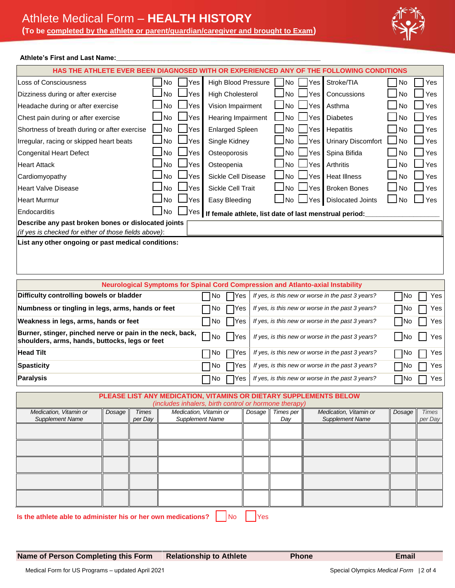

## Athlete's First and Last Name:

|                                                                                                                            |                                                                |              |                                       |                                                                                        |                            |           |                         | HAS THE ATHLETE EVER BEEN DIAGNOSED WITH OR EXPERIENCED ANY OF THE FOLLOWING CONDITIONS |        |              |
|----------------------------------------------------------------------------------------------------------------------------|----------------------------------------------------------------|--------------|---------------------------------------|----------------------------------------------------------------------------------------|----------------------------|-----------|-------------------------|-----------------------------------------------------------------------------------------|--------|--------------|
| Loss of Consciousness                                                                                                      |                                                                |              | No<br>Yes                             |                                                                                        | <b>High Blood Pressure</b> |           | Stroke/TIA<br>No<br>Yes |                                                                                         | No     | Yes          |
| Dizziness during or after exercise                                                                                         |                                                                |              | <b>No</b><br>Yes                      |                                                                                        | <b>High Cholesterol</b>    |           | Yes                     | Concussions                                                                             | No.    | Yes          |
| Headache during or after exercise                                                                                          |                                                                |              | No<br>Yes                             |                                                                                        | Vision Impairment          |           | Yes                     | Asthma                                                                                  | No     | Yes          |
| Chest pain during or after exercise                                                                                        |                                                                |              | No<br>Yes                             | Hearing Impairment                                                                     |                            | No        | Yes<br><b>Diabetes</b>  |                                                                                         |        | Yes          |
| Shortness of breath during or after exercise                                                                               |                                                                |              | l No<br>Yes<br><b>Enlarged Spleen</b> |                                                                                        |                            | No        | Yes                     | Hepatitis                                                                               | No     | Yes          |
| Irregular, racing or skipped heart beats                                                                                   |                                                                |              | No<br>Yes                             | Single Kidney                                                                          |                            | No        | Yes                     | <b>Urinary Discomfort</b>                                                               | No     | Yes          |
| <b>Congenital Heart Defect</b>                                                                                             |                                                                |              | No<br>Yes                             | Osteoporosis                                                                           |                            | No        | Yes                     | Spina Bifida                                                                            | No     | Yes          |
| <b>Heart Attack</b>                                                                                                        |                                                                |              | <b>No</b><br>Yes                      |                                                                                        | Osteopenia                 |           | Yes                     | Arthritis                                                                               | No     | Yes          |
| Cardiomyopathy                                                                                                             |                                                                |              | <b>No</b><br>Yes                      |                                                                                        | Sickle Cell Disease        |           | Yes                     | <b>Heat Illness</b>                                                                     | No     | Yes          |
| <b>Heart Valve Disease</b>                                                                                                 |                                                                |              | <b>No</b><br>Yes                      |                                                                                        | Sickle Cell Trait          |           | Yes                     | <b>Broken Bones</b>                                                                     | No     | Yes          |
| <b>Heart Murmur</b>                                                                                                        |                                                                |              | No<br>Yes                             | Easy Bleeding                                                                          |                            | No.       | Yes                     | <b>Dislocated Joints</b>                                                                | No     | Yes          |
| Endocarditis                                                                                                               |                                                                |              | l No<br>Yes                           |                                                                                        |                            |           |                         | If female athlete, list date of last menstrual period:                                  |        |              |
| Describe any past broken bones or dislocated joints                                                                        |                                                                |              |                                       |                                                                                        |                            |           |                         |                                                                                         |        |              |
| (if yes is checked for either of those fields above):                                                                      |                                                                |              |                                       |                                                                                        |                            |           |                         |                                                                                         |        |              |
|                                                                                                                            |                                                                |              |                                       | <b>Neurological Symptoms for Spinal Cord Compression and Atlanto-axial Instability</b> |                            |           |                         |                                                                                         |        |              |
| Difficulty controlling bowels or bladder                                                                                   |                                                                |              |                                       | No<br>Yes                                                                              |                            |           |                         | If yes, is this new or worse in the past 3 years?                                       | No     | Yes          |
| Numbness or tingling in legs, arms, hands or feet<br>If yes, is this new or worse in the past 3 years?<br>∏No<br>No<br>Yes |                                                                |              |                                       |                                                                                        |                            |           | Yes                     |                                                                                         |        |              |
| Weakness in legs, arms, hands or feet<br>  No<br>If yes, is this new or worse in the past 3 years?<br>- INo<br>Yes         |                                                                |              |                                       |                                                                                        |                            |           |                         | Yes                                                                                     |        |              |
| Burner, stinger, pinched nerve or pain in the neck, back,                                                                  |                                                                |              |                                       |                                                                                        |                            |           |                         |                                                                                         |        |              |
| If yes, is this new or worse in the past 3 years?<br>No<br>Yes<br>– INo<br>shoulders, arms, hands, buttocks, legs or feet  |                                                                |              |                                       |                                                                                        |                            |           |                         | Yes                                                                                     |        |              |
| <b>Head Tilt</b>                                                                                                           | No<br>If yes, is this new or worse in the past 3 years?<br>Yes |              |                                       |                                                                                        |                            |           | $\neg$ No               | Yes                                                                                     |        |              |
| <b>Spasticity</b>                                                                                                          | If yes, is this new or worse in the past 3 years?<br>No<br>Yes |              |                                       |                                                                                        |                            |           | ∏No                     | Yes                                                                                     |        |              |
| <b>Paralysis</b><br>If yes, is this new or worse in the past 3 years?<br>No<br>Yes                                         |                                                                |              |                                       |                                                                                        |                            | ¶No       | Yes                     |                                                                                         |        |              |
|                                                                                                                            |                                                                |              |                                       | PLEASE LIST ANY MEDICATION, VITAMINS OR DIETARY SUPPLEMENTS BELOW                      |                            |           |                         |                                                                                         |        |              |
| Medication, Vitamin or                                                                                                     | Dosage                                                         | <b>Times</b> |                                       | (includes inhalers, birth control or hormone therapy)<br>Medication, Vitamin or        | Dosage                     | Times per |                         | Medication, Vitamin or                                                                  | Dosage | <b>Times</b> |
| <b>Supplement Name</b>                                                                                                     |                                                                | per Day      |                                       | <b>Supplement Name</b>                                                                 |                            | Day       |                         | <b>Supplement Name</b>                                                                  |        | per Day      |
|                                                                                                                            |                                                                |              |                                       |                                                                                        |                            |           |                         |                                                                                         |        |              |
|                                                                                                                            |                                                                |              |                                       |                                                                                        |                            |           |                         |                                                                                         |        |              |
|                                                                                                                            |                                                                |              |                                       |                                                                                        |                            |           |                         |                                                                                         |        |              |
|                                                                                                                            |                                                                |              |                                       |                                                                                        |                            |           |                         |                                                                                         |        |              |
|                                                                                                                            |                                                                |              |                                       |                                                                                        |                            |           |                         |                                                                                         |        |              |
|                                                                                                                            |                                                                |              |                                       |                                                                                        |                            |           |                         |                                                                                         |        |              |
|                                                                                                                            |                                                                |              |                                       |                                                                                        |                            |           |                         |                                                                                         |        |              |

**Is the athlete able to administer his or her own medications?**  $\begin{bmatrix} N_0 & N_1 \\ N_2 & N_2 \end{bmatrix}$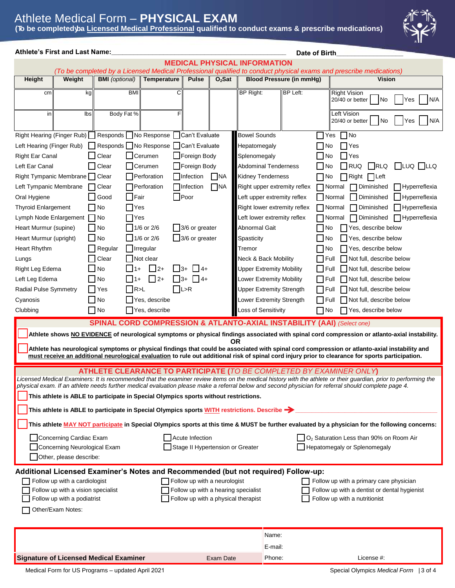## Athlete Medical Form – **PHYSICAL EXAM (To be completed by a Licensed Medical Professional qualified to conduct exams & prescribe medications)**



|                                                                                                                                                                                                                                                                                                                         | <b>Athlete's First and Last Name:</b><br>Date of Birth                                                                                            |                                               |                                                                                    |                     |                                  |                                     |                                 |                                 |              |                                                                                                                                                 |     |
|-------------------------------------------------------------------------------------------------------------------------------------------------------------------------------------------------------------------------------------------------------------------------------------------------------------------------|---------------------------------------------------------------------------------------------------------------------------------------------------|-----------------------------------------------|------------------------------------------------------------------------------------|---------------------|----------------------------------|-------------------------------------|---------------------------------|---------------------------------|--------------|-------------------------------------------------------------------------------------------------------------------------------------------------|-----|
|                                                                                                                                                                                                                                                                                                                         |                                                                                                                                                   |                                               |                                                                                    |                     |                                  | <b>MEDICAL PHYSICAL INFORMATION</b> |                                 |                                 |              |                                                                                                                                                 |     |
| Height                                                                                                                                                                                                                                                                                                                  | Weight                                                                                                                                            | <b>BMI</b> (optional)                         | Temperature                                                                        | <b>Pulse</b>        | $O2$ Sat                         |                                     |                                 | <b>Blood Pressure (in mmHg)</b> |              | (To be completed by a Licensed Medical Professional qualified to conduct physical exams and prescribe medications)<br>Vision                    |     |
|                                                                                                                                                                                                                                                                                                                         |                                                                                                                                                   |                                               |                                                                                    |                     |                                  |                                     |                                 |                                 |              |                                                                                                                                                 |     |
| cm                                                                                                                                                                                                                                                                                                                      | kg                                                                                                                                                | <b>BMI</b>                                    | С                                                                                  |                     |                                  | <b>BP Right:</b>                    |                                 | <b>BP Left:</b>                 |              | <b>Right Vision</b><br>20/40 or better<br>INo<br>Yes                                                                                            | N/A |
| in                                                                                                                                                                                                                                                                                                                      | $\overline{\mathsf{lbs}}$                                                                                                                         | Body Fat %                                    |                                                                                    |                     |                                  |                                     |                                 |                                 |              | Left Vision<br>No<br>20/40 or better<br>Yes                                                                                                     | N/A |
|                                                                                                                                                                                                                                                                                                                         |                                                                                                                                                   |                                               | Right Hearing (Finger Rub) Responds No Response Can't Evaluate                     |                     |                                  | <b>Bowel Sounds</b>                 |                                 |                                 | $\Box$ Yes   | $\Box$ No                                                                                                                                       |     |
| Left Hearing (Finger Rub)                                                                                                                                                                                                                                                                                               |                                                                                                                                                   |                                               | Responds No Response Can't Evaluate                                                |                     |                                  | Hepatomegaly                        |                                 |                                 | No           | Yes                                                                                                                                             |     |
| <b>Right Ear Canal</b>                                                                                                                                                                                                                                                                                                  |                                                                                                                                                   | Clear                                         | Cerumen                                                                            | Foreign Body        |                                  | Splenomegaly                        |                                 |                                 | $\Box$ No    | Yes                                                                                                                                             |     |
| Left Ear Canal                                                                                                                                                                                                                                                                                                          |                                                                                                                                                   | Clear                                         | Cerumen                                                                            | Foreign Body        |                                  | Abdominal Tenderness                |                                 |                                 | $\Box$ No    | RLQ<br>$\Box$ luq $\Box$ llq<br><b>RUQ</b>                                                                                                      |     |
| Right Tympanic Membrane   Clear                                                                                                                                                                                                                                                                                         |                                                                                                                                                   |                                               | Perforation                                                                        | $\Box$ Infection    | <b>NA</b>                        | Kidney Tenderness                   |                                 |                                 | $\Box$ No    | Right<br>  Left                                                                                                                                 |     |
| Left Tympanic Membrane                                                                                                                                                                                                                                                                                                  |                                                                                                                                                   | Clear                                         | Perforation                                                                        | □Infection          | $\Box$ NA                        |                                     |                                 | Right upper extremity reflex    |              | $\Box$ Normal<br>Diminished<br>Hyperreflexia                                                                                                    |     |
| Oral Hygiene                                                                                                                                                                                                                                                                                                            |                                                                                                                                                   | Good<br><b>Fair</b>                           |                                                                                    | $\Box$ Poor         |                                  |                                     |                                 | Left upper extremity reflex     |              | Normal<br>Diminished<br>Hyperreflexia                                                                                                           |     |
| <b>Thyroid Enlargement</b>                                                                                                                                                                                                                                                                                              |                                                                                                                                                   | $\Box$ No                                     | Yes                                                                                |                     |                                  |                                     | Right lower extremity reflex    |                                 |              | $\Box$ Normal<br><b>□ Hyperreflexia</b><br>Diminished                                                                                           |     |
| Lymph Node Enlargement   No                                                                                                                                                                                                                                                                                             |                                                                                                                                                   |                                               | Yes                                                                                |                     |                                  |                                     | Left lower extremity reflex     |                                 |              | $\Box$ Normal<br>$\Box$ Hyperreflexia<br>Diminished                                                                                             |     |
| Heart Murmur (supine)                                                                                                                                                                                                                                                                                                   |                                                                                                                                                   | $\Box$ No                                     | 1/6 or 2/6                                                                         | 3/6 or greater      |                                  | Abnormal Gait                       |                                 |                                 | $\Box$ No    | Yes, describe below                                                                                                                             |     |
| Heart Murmur (upright)                                                                                                                                                                                                                                                                                                  |                                                                                                                                                   | No                                            | $1/6$ or 2/6                                                                       | 3/6 or greater      |                                  | Spasticity                          |                                 |                                 | $\Box$ No    | Yes, describe below                                                                                                                             |     |
| Heart Rhythm                                                                                                                                                                                                                                                                                                            |                                                                                                                                                   | $\Box$ Regular                                | $\Box$ Irregular                                                                   |                     |                                  | Tremor                              |                                 |                                 | $\Box$ No    | Yes, describe below                                                                                                                             |     |
| Lungs                                                                                                                                                                                                                                                                                                                   |                                                                                                                                                   | $\Box$ Clear                                  | Not clear                                                                          |                     |                                  |                                     | <b>Neck &amp; Back Mobility</b> |                                 | $\Box$ Full  | Not full, describe below                                                                                                                        |     |
| Right Leg Edema                                                                                                                                                                                                                                                                                                         |                                                                                                                                                   | $\blacksquare$ No                             | $\Box$ 2+                                                                          | $\Box$ 3+ $\Box$ 4+ |                                  | <b>Upper Extremity Mobility</b>     |                                 |                                 | $\Box$ Full  | Not full, describe below                                                                                                                        |     |
| Left Leg Edema                                                                                                                                                                                                                                                                                                          |                                                                                                                                                   | No<br>$11+$                                   | $\Box$ 2+<br>$\Box$ 3+                                                             | $\Box$ 4+           |                                  |                                     | Lower Extremity Mobility        |                                 | $\Box$ Full  | Not full, describe below                                                                                                                        |     |
| <b>Radial Pulse Symmetry</b>                                                                                                                                                                                                                                                                                            |                                                                                                                                                   | IYes                                          | $\neg$ R>L                                                                         | $\prod$ L>R         |                                  | <b>Upper Extremity Strength</b>     |                                 |                                 | $\prod$ Full | Not full, describe below                                                                                                                        |     |
| Cyanosis                                                                                                                                                                                                                                                                                                                |                                                                                                                                                   | $\Box$ No                                     | Yes, describe                                                                      |                     |                                  | Lower Extremity Strength            |                                 |                                 | $\prod$ Full | Not full, describe below                                                                                                                        |     |
| Clubbing                                                                                                                                                                                                                                                                                                                |                                                                                                                                                   | $\Box$ No                                     | Yes, describe                                                                      |                     |                                  | Loss of Sensitivity                 |                                 |                                 | $\Box$ No    | Yes, describe below                                                                                                                             |     |
|                                                                                                                                                                                                                                                                                                                         |                                                                                                                                                   |                                               | <b>SPINAL CORD COMPRESSION &amp; ATLANTO-AXIAL INSTABILITY (AAI) (Select one)</b>  |                     |                                  |                                     |                                 |                                 |              |                                                                                                                                                 |     |
|                                                                                                                                                                                                                                                                                                                         |                                                                                                                                                   |                                               |                                                                                    |                     |                                  |                                     |                                 |                                 |              |                                                                                                                                                 |     |
|                                                                                                                                                                                                                                                                                                                         |                                                                                                                                                   |                                               |                                                                                    |                     |                                  | <b>OR</b>                           |                                 |                                 |              | Athlete shows NO EVIDENCE of neurological symptoms or physical findings associated with spinal cord compression or atlanto-axial instability.   |     |
|                                                                                                                                                                                                                                                                                                                         |                                                                                                                                                   |                                               |                                                                                    |                     |                                  |                                     |                                 |                                 |              | Athlete has neurological symptoms or physical findings that could be associated with spinal cord compression or atlanto-axial instability and   |     |
|                                                                                                                                                                                                                                                                                                                         | must receive an additional neurological evaluation to rule out additional risk of spinal cord injury prior to clearance for sports participation. |                                               |                                                                                    |                     |                                  |                                     |                                 |                                 |              |                                                                                                                                                 |     |
| ATHLETE CLEARANCE TO PARTICIPATE (TO BE COMPLETED BY EXAMINER ONLY)                                                                                                                                                                                                                                                     |                                                                                                                                                   |                                               |                                                                                    |                     |                                  |                                     |                                 |                                 |              |                                                                                                                                                 |     |
| Licensed Medical Examiners: It is recommended that the examiner review items on the medical history with the athlete or their guardian, prior to performing the<br>physical exam. If an athlete needs further medical evaluation please make a referral below and second physician for referral should complete page 4. |                                                                                                                                                   |                                               |                                                                                    |                     |                                  |                                     |                                 |                                 |              |                                                                                                                                                 |     |
| This athlete is ABLE to participate in Special Olympics sports without restrictions.                                                                                                                                                                                                                                    |                                                                                                                                                   |                                               |                                                                                    |                     |                                  |                                     |                                 |                                 |              |                                                                                                                                                 |     |
|                                                                                                                                                                                                                                                                                                                         |                                                                                                                                                   |                                               |                                                                                    |                     |                                  |                                     |                                 |                                 |              |                                                                                                                                                 |     |
| This athlete is ABLE to participate in Special Olympics sports WITH restrictions. Describe $\rightarrow$                                                                                                                                                                                                                |                                                                                                                                                   |                                               |                                                                                    |                     |                                  |                                     |                                 |                                 |              |                                                                                                                                                 |     |
|                                                                                                                                                                                                                                                                                                                         |                                                                                                                                                   |                                               |                                                                                    |                     |                                  |                                     |                                 |                                 |              | This athlete MAY NOT participate in Special Olympics sports at this time & MUST be further evaluated by a physician for the following concerns: |     |
|                                                                                                                                                                                                                                                                                                                         | Concerning Cardiac Exam                                                                                                                           |                                               |                                                                                    | Acute Infection     |                                  |                                     |                                 |                                 |              | O <sub>2</sub> Saturation Less than 90% on Room Air                                                                                             |     |
|                                                                                                                                                                                                                                                                                                                         | Concerning Neurological Exam                                                                                                                      |                                               |                                                                                    |                     | Stage II Hypertension or Greater |                                     |                                 |                                 |              | Hepatomegaly or Splenomegaly                                                                                                                    |     |
|                                                                                                                                                                                                                                                                                                                         | Other, please describe:                                                                                                                           |                                               |                                                                                    |                     |                                  |                                     |                                 |                                 |              |                                                                                                                                                 |     |
|                                                                                                                                                                                                                                                                                                                         |                                                                                                                                                   |                                               | Additional Licensed Examiner's Notes and Recommended (but not required) Follow-up: |                     |                                  |                                     |                                 |                                 |              |                                                                                                                                                 |     |
|                                                                                                                                                                                                                                                                                                                         | Follow up with a cardiologist                                                                                                                     |                                               |                                                                                    |                     | Follow up with a neurologist     |                                     |                                 |                                 |              | Follow up with a primary care physician                                                                                                         |     |
|                                                                                                                                                                                                                                                                                                                         | Follow up with a vision specialist                                                                                                                |                                               |                                                                                    |                     |                                  | Follow up with a hearing specialist |                                 |                                 |              | Follow up with a dentist or dental hygienist                                                                                                    |     |
|                                                                                                                                                                                                                                                                                                                         | Follow up with a podiatrist                                                                                                                       |                                               |                                                                                    |                     |                                  | Follow up with a physical therapist |                                 |                                 |              | Follow up with a nutritionist                                                                                                                   |     |
|                                                                                                                                                                                                                                                                                                                         | Other/Exam Notes:                                                                                                                                 |                                               |                                                                                    |                     |                                  |                                     |                                 |                                 |              |                                                                                                                                                 |     |
|                                                                                                                                                                                                                                                                                                                         |                                                                                                                                                   |                                               |                                                                                    |                     |                                  |                                     |                                 |                                 |              |                                                                                                                                                 |     |
|                                                                                                                                                                                                                                                                                                                         |                                                                                                                                                   |                                               |                                                                                    |                     |                                  |                                     | Name:                           |                                 |              |                                                                                                                                                 |     |
|                                                                                                                                                                                                                                                                                                                         |                                                                                                                                                   |                                               |                                                                                    |                     |                                  |                                     | E-mail:                         |                                 |              |                                                                                                                                                 |     |
|                                                                                                                                                                                                                                                                                                                         |                                                                                                                                                   | <b>Signature of Licensed Medical Examiner</b> |                                                                                    |                     | Exam Date                        |                                     | Phone:                          |                                 |              | License #:                                                                                                                                      |     |